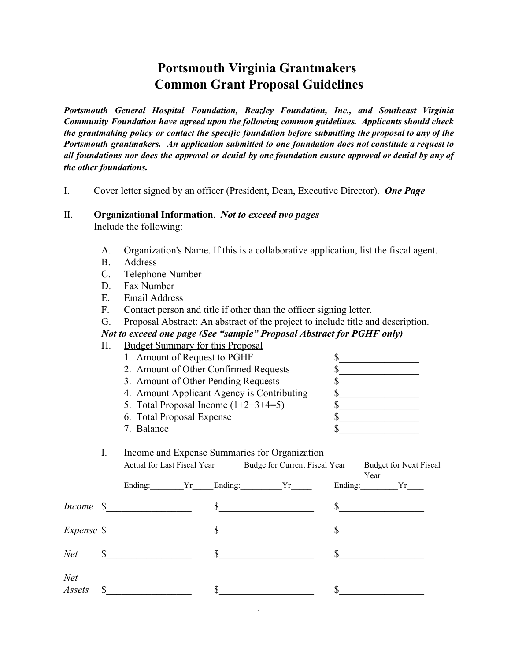# **Portsmouth Virginia Grantmakers Common Grant Proposal Guidelines**

*Portsmouth General Hospital Foundation, Beazley Foundation, Inc., and Southeast Virginia Community Foundation have agreed upon the following common guidelines. Applicants should check the grantmaking policy or contact the specific foundation before submitting the proposal to any of the Portsmouth grantmakers. An application submitted to one foundation does not constitute a request to* all foundations nor does the approval or denial by one foundation ensure approval or denial by any of *the other foundations.*

I. Cover letter signed by an officer (President, Dean, Executive Director). *One Page*

#### II. **Organizational Information**. *Not to exceed two pages*

Include the following:

- A. Organization's Name. If this is a collaborative application, list the fiscal agent.
- B. Address
- C. Telephone Number
- D. Fax Number
- E. Email Address
- F. Contact person and title if other than the officer signing letter.

G. Proposal Abstract: An abstract of the project to include title and description.

*Not to exceed one page (See "sample" Proposal Abstract for PGHF only)*

- H. Budget Summary for this Proposal
	- 1. Amount of Request to PGHF  $\sim$
	- 2. Amount of Other Confirmed Requests  $\$\$
	- 3. Amount of Other Pending Requests  $\$\$
	- 4. Amount Applicant Agency is Contributing  $\qquad$  \$
	- 5. Total Proposal Income (1+2+3+4=5) \$\_\_\_\_\_\_\_\_\_\_\_\_\_\_\_\_
	- 6. Total Proposal Expense \$
	- 7. Balance  $\sim$
- I. Income and Expense Summaries for Organization

|               | л. | <u>meonic and Expense Bunnitaties for Organization</u>    |  |              |        |    |                        |
|---------------|----|-----------------------------------------------------------|--|--------------|--------|----|------------------------|
|               |    | Actual for Last Fiscal Year Budge for Current Fiscal Year |  |              |        |    | Budget for Next Fiscal |
|               |    |                                                           |  |              |        |    | Year<br>Ending: Yr     |
|               |    | $Income \t$$                                              |  |              | $\sim$ |    | $\sim$                 |
|               |    | $Expense \$                                               |  | \$           |        | S. |                        |
| Net           |    | $\mathbb{S}$                                              |  | $\mathbb{S}$ |        |    |                        |
| Net<br>Assets |    |                                                           |  |              |        |    |                        |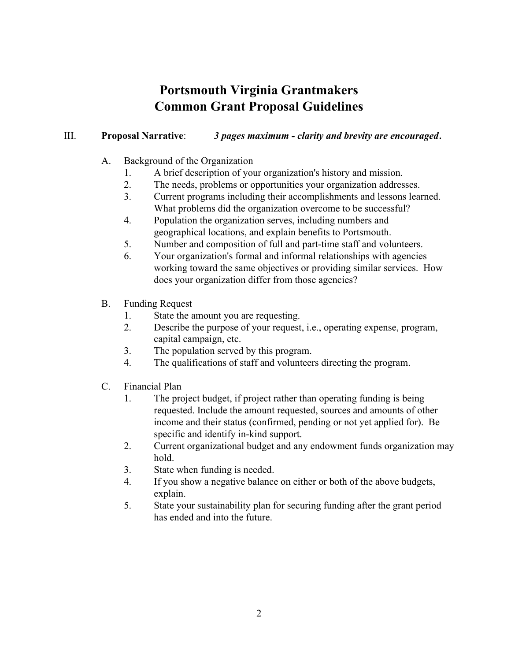# **Portsmouth Virginia Grantmakers Common Grant Proposal Guidelines**

#### III. **Proposal Narrative**: *3 pages maximum - clarity and brevity are encouraged*.

- A. Background of the Organization
	- 1. A brief description of your organization's history and mission.
	- 2. The needs, problems or opportunities your organization addresses.
	- 3. Current programs including their accomplishments and lessons learned. What problems did the organization overcome to be successful?
	- 4. Population the organization serves, including numbers and geographical locations, and explain benefits to Portsmouth.
	- 5. Number and composition of full and part-time staff and volunteers.
	- 6. Your organization's formal and informal relationships with agencies working toward the same objectives or providing similar services. How does your organization differ from those agencies?
- B. Funding Request
	- 1. State the amount you are requesting.
	- 2. Describe the purpose of your request, i.e., operating expense, program, capital campaign, etc.
	- 3. The population served by this program.
	- 4. The qualifications of staff and volunteers directing the program.
- C. Financial Plan
	- 1. The project budget, if project rather than operating funding is being requested. Include the amount requested, sources and amounts of other income and their status (confirmed, pending or not yet applied for). Be specific and identify in-kind support.
	- 2. Current organizational budget and any endowment funds organization may hold.
	- 3. State when funding is needed.
	- 4. If you show a negative balance on either or both of the above budgets, explain.
	- 5. State your sustainability plan for securing funding after the grant period has ended and into the future.